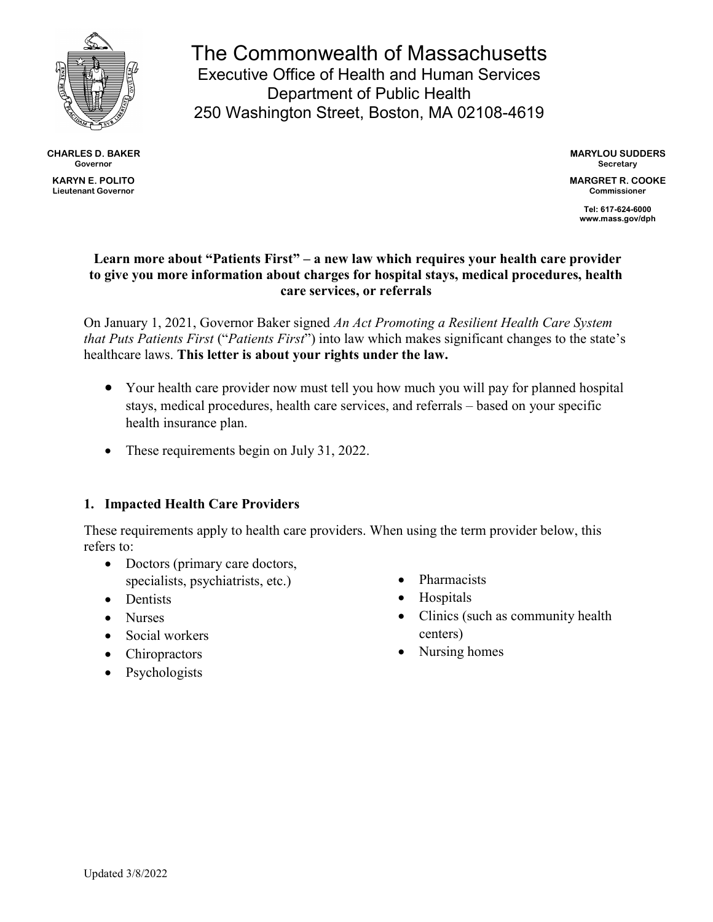

CHARLES D. BAKER Governor KARYN E. POLITO Lieutenant Governor

The Commonwealth of Massachusetts Executive Office of Health and Human Services Department of Public Health 250 Washington Street, Boston, MA 02108-4619

> MARYLOU SUDDERS **Secretary**

MARGRET R. COOKE Commissioner

> Tel: 617-624-6000 www.mass.gov/dph

### Learn more about "Patients First" – a new law which requires your health care provider to give you more information about charges for hospital stays, medical procedures, health care services, or referrals

On January 1, 2021, Governor Baker signed An Act Promoting a Resilient Health Care System that Puts Patients First ("Patients First") into law which makes significant changes to the state's healthcare laws. This letter is about your rights under the law.

- Your health care provider now must tell you how much you will pay for planned hospital stays, medical procedures, health care services, and referrals – based on your specific health insurance plan.
- These requirements begin on July 31, 2022.

### 1. Impacted Health Care Providers

These requirements apply to health care providers. When using the term provider below, this refers to:

- Doctors (primary care doctors, specialists, psychiatrists, etc.)
- Dentists
- Nurses
- Social workers
- Chiropractors
- Psychologists
- Pharmacists
- Hospitals
- Clinics (such as community health centers)
- Nursing homes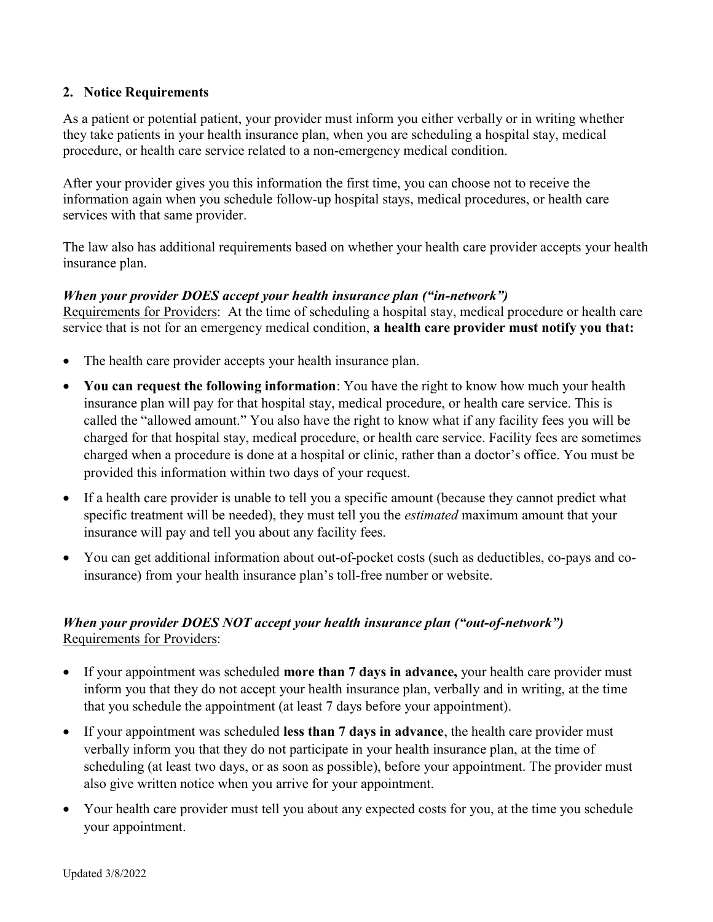### 2. Notice Requirements

As a patient or potential patient, your provider must inform you either verbally or in writing whether they take patients in your health insurance plan, when you are scheduling a hospital stay, medical procedure, or health care service related to a non-emergency medical condition.

After your provider gives you this information the first time, you can choose not to receive the information again when you schedule follow-up hospital stays, medical procedures, or health care services with that same provider.

The law also has additional requirements based on whether your health care provider accepts your health insurance plan.

#### When your provider DOES accept your health insurance plan ("in-network")

Requirements for Providers: At the time of scheduling a hospital stay, medical procedure or health care service that is not for an emergency medical condition, a health care provider must notify you that:

- The health care provider accepts your health insurance plan.
- You can request the following information: You have the right to know how much your health insurance plan will pay for that hospital stay, medical procedure, or health care service. This is called the "allowed amount." You also have the right to know what if any facility fees you will be charged for that hospital stay, medical procedure, or health care service. Facility fees are sometimes charged when a procedure is done at a hospital or clinic, rather than a doctor's office. You must be provided this information within two days of your request.
- If a health care provider is unable to tell you a specific amount (because they cannot predict what specific treatment will be needed), they must tell you the *estimated* maximum amount that your insurance will pay and tell you about any facility fees.
- You can get additional information about out-of-pocket costs (such as deductibles, co-pays and coinsurance) from your health insurance plan's toll-free number or website.

# When your provider DOES NOT accept your health insurance plan ("out-of-network") Requirements for Providers:

- If your appointment was scheduled more than 7 days in advance, your health care provider must inform you that they do not accept your health insurance plan, verbally and in writing, at the time that you schedule the appointment (at least 7 days before your appointment).
- If your appointment was scheduled less than 7 days in advance, the health care provider must verbally inform you that they do not participate in your health insurance plan, at the time of scheduling (at least two days, or as soon as possible), before your appointment. The provider must also give written notice when you arrive for your appointment.
- Your health care provider must tell you about any expected costs for you, at the time you schedule your appointment.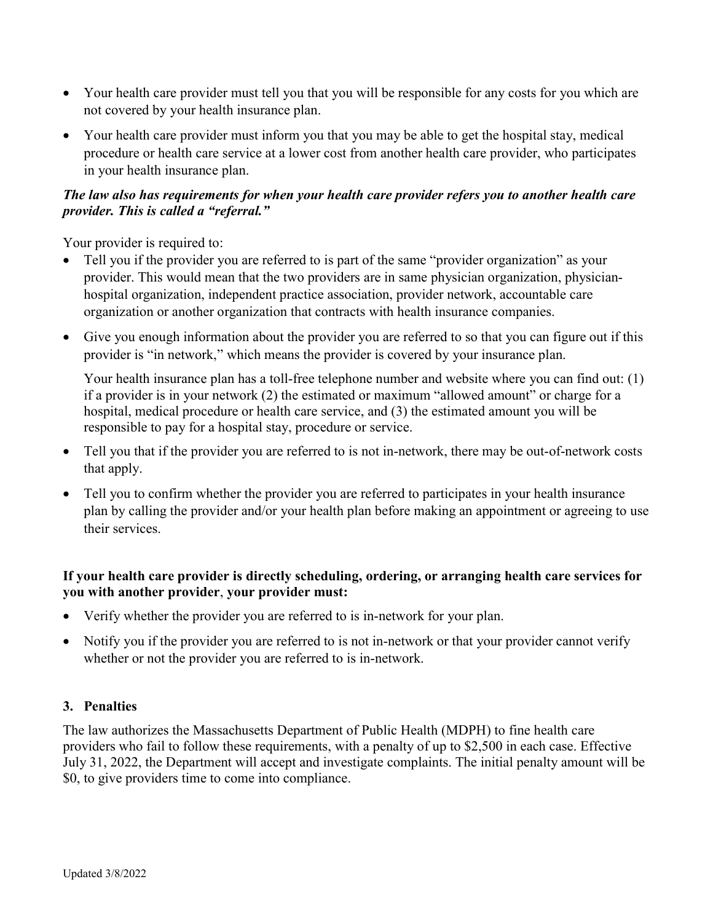- Your health care provider must tell you that you will be responsible for any costs for you which are not covered by your health insurance plan.
- Your health care provider must inform you that you may be able to get the hospital stay, medical procedure or health care service at a lower cost from another health care provider, who participates in your health insurance plan.

# The law also has requirements for when your health care provider refers you to another health care provider. This is called a "referral."

Your provider is required to:

- Tell you if the provider you are referred to is part of the same "provider organization" as your provider. This would mean that the two providers are in same physician organization, physicianhospital organization, independent practice association, provider network, accountable care organization or another organization that contracts with health insurance companies.
- Give you enough information about the provider you are referred to so that you can figure out if this provider is "in network," which means the provider is covered by your insurance plan.

Your health insurance plan has a toll-free telephone number and website where you can find out: (1) if a provider is in your network (2) the estimated or maximum "allowed amount" or charge for a hospital, medical procedure or health care service, and (3) the estimated amount you will be responsible to pay for a hospital stay, procedure or service.

- Tell you that if the provider you are referred to is not in-network, there may be out-of-network costs that apply.
- Tell you to confirm whether the provider you are referred to participates in your health insurance plan by calling the provider and/or your health plan before making an appointment or agreeing to use their services.

# If your health care provider is directly scheduling, ordering, or arranging health care services for you with another provider, your provider must:

- Verify whether the provider you are referred to is in-network for your plan.
- Notify you if the provider you are referred to is not in-network or that your provider cannot verify whether or not the provider you are referred to is in-network.

### 3. Penalties

The law authorizes the Massachusetts Department of Public Health (MDPH) to fine health care providers who fail to follow these requirements, with a penalty of up to \$2,500 in each case. Effective July 31, 2022, the Department will accept and investigate complaints. The initial penalty amount will be \$0, to give providers time to come into compliance.